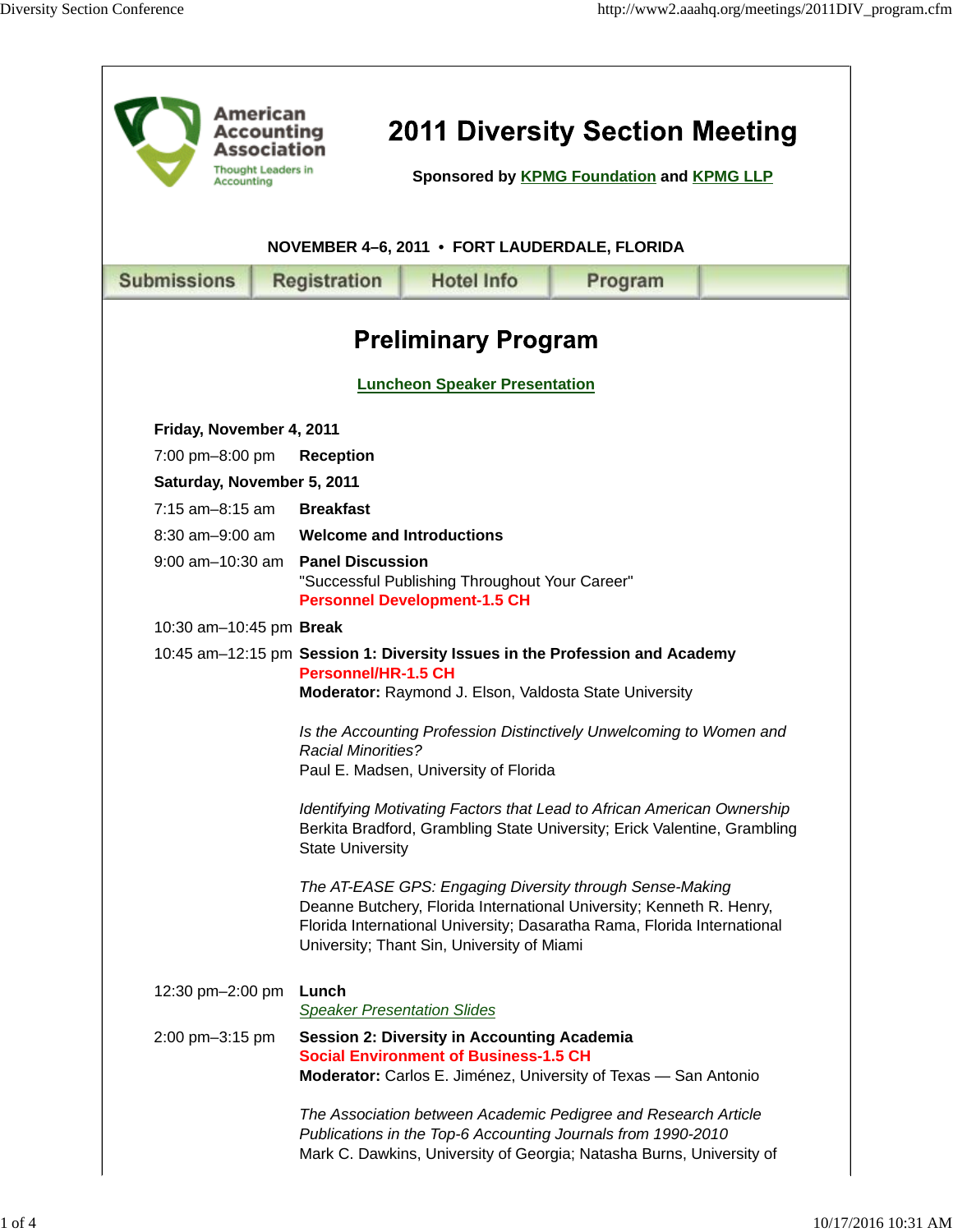| American<br><b>2011 Diversity Section Meeting</b><br>Accounting<br>Association<br><b>Thought Leaders in</b><br>Sponsored by KPMG Foundation and KPMG LLP<br>Accounting |  |                                                                                                                  |                                                                                                    |                                                                                                                                                                                                                                                                                                          |  |  |  |
|------------------------------------------------------------------------------------------------------------------------------------------------------------------------|--|------------------------------------------------------------------------------------------------------------------|----------------------------------------------------------------------------------------------------|----------------------------------------------------------------------------------------------------------------------------------------------------------------------------------------------------------------------------------------------------------------------------------------------------------|--|--|--|
| NOVEMBER 4-6, 2011 • FORT LAUDERDALE, FLORIDA                                                                                                                          |  |                                                                                                                  |                                                                                                    |                                                                                                                                                                                                                                                                                                          |  |  |  |
| <b>Submissions</b>                                                                                                                                                     |  | <b>Registration</b>                                                                                              | <b>Hotel Info</b>                                                                                  | Program                                                                                                                                                                                                                                                                                                  |  |  |  |
| <b>Preliminary Program</b><br><b>Luncheon Speaker Presentation</b>                                                                                                     |  |                                                                                                                  |                                                                                                    |                                                                                                                                                                                                                                                                                                          |  |  |  |
| Friday, November 4, 2011                                                                                                                                               |  |                                                                                                                  |                                                                                                    |                                                                                                                                                                                                                                                                                                          |  |  |  |
| 7:00 pm-8:00 pm                                                                                                                                                        |  | <b>Reception</b>                                                                                                 |                                                                                                    |                                                                                                                                                                                                                                                                                                          |  |  |  |
| Saturday, November 5, 2011                                                                                                                                             |  |                                                                                                                  |                                                                                                    |                                                                                                                                                                                                                                                                                                          |  |  |  |
| $7:15$ am-8:15 am                                                                                                                                                      |  | <b>Breakfast</b>                                                                                                 |                                                                                                    |                                                                                                                                                                                                                                                                                                          |  |  |  |
| 8:30 am-9:00 am                                                                                                                                                        |  | <b>Welcome and Introductions</b>                                                                                 |                                                                                                    |                                                                                                                                                                                                                                                                                                          |  |  |  |
| $9:00$ am $-10:30$ am                                                                                                                                                  |  | <b>Panel Discussion</b><br>"Successful Publishing Throughout Your Career"<br><b>Personnel Development-1.5 CH</b> |                                                                                                    |                                                                                                                                                                                                                                                                                                          |  |  |  |
| 10:30 am-10:45 pm Break                                                                                                                                                |  |                                                                                                                  |                                                                                                    |                                                                                                                                                                                                                                                                                                          |  |  |  |
|                                                                                                                                                                        |  | <b>Personnel/HR-1.5 CH</b><br><b>Racial Minorities?</b><br><b>State University</b>                               | Moderator: Raymond J. Elson, Valdosta State University<br>Paul E. Madsen, University of Florida    | 10:45 am-12:15 pm Session 1: Diversity Issues in the Profession and Academy<br>Is the Accounting Profession Distinctively Unwelcoming to Women and<br>Identifying Motivating Factors that Lead to African American Ownership<br>Berkita Bradford, Grambling State University; Erick Valentine, Grambling |  |  |  |
|                                                                                                                                                                        |  |                                                                                                                  | University; Thant Sin, University of Miami                                                         | The AT-EASE GPS: Engaging Diversity through Sense-Making<br>Deanne Butchery, Florida International University; Kenneth R. Henry,<br>Florida International University; Dasaratha Rama, Florida International                                                                                              |  |  |  |
| 12:30 pm-2:00 pm                                                                                                                                                       |  | Lunch                                                                                                            | <b>Speaker Presentation Slides</b>                                                                 |                                                                                                                                                                                                                                                                                                          |  |  |  |
| 2:00 pm-3:15 pm                                                                                                                                                        |  |                                                                                                                  | <b>Session 2: Diversity in Accounting Academia</b><br><b>Social Environment of Business-1.5 CH</b> | Moderator: Carlos E. Jiménez, University of Texas - San Antonio                                                                                                                                                                                                                                          |  |  |  |
|                                                                                                                                                                        |  |                                                                                                                  |                                                                                                    | The Association between Academic Pedigree and Research Article<br>Publications in the Top-6 Accounting Journals from 1990-2010<br>Mark C. Dawkins, University of Georgia; Natasha Burns, University of                                                                                                   |  |  |  |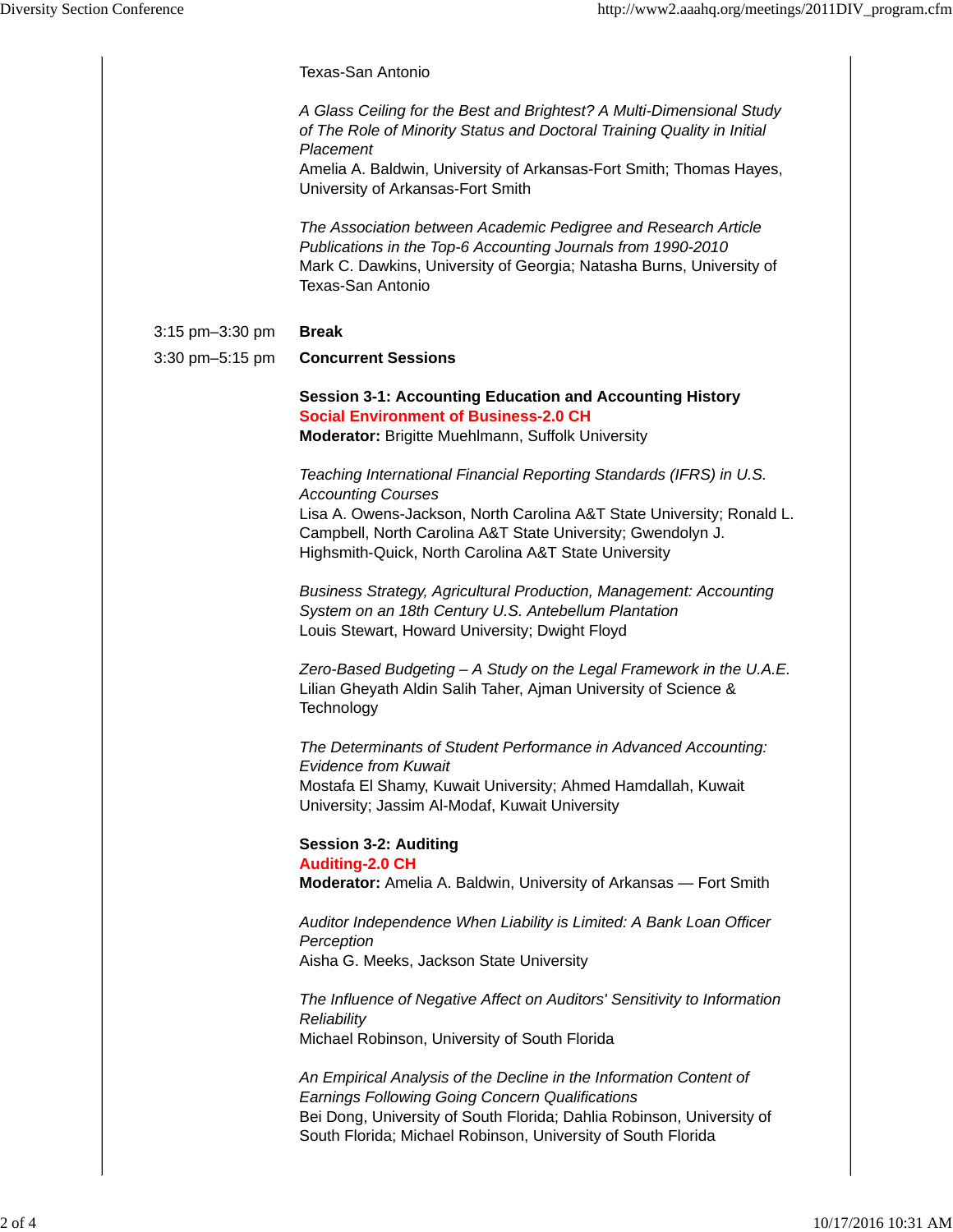|                 | <b>Texas-San Antonio</b>                                                                                                                                                                                                                                                  |  |  |  |  |
|-----------------|---------------------------------------------------------------------------------------------------------------------------------------------------------------------------------------------------------------------------------------------------------------------------|--|--|--|--|
|                 | A Glass Ceiling for the Best and Brightest? A Multi-Dimensional Study<br>of The Role of Minority Status and Doctoral Training Quality in Initial<br>Placement<br>Amelia A. Baldwin, University of Arkansas-Fort Smith; Thomas Hayes,<br>University of Arkansas-Fort Smith |  |  |  |  |
|                 | The Association between Academic Pedigree and Research Article<br>Publications in the Top-6 Accounting Journals from 1990-2010<br>Mark C. Dawkins, University of Georgia; Natasha Burns, University of<br>Texas-San Antonio                                               |  |  |  |  |
| 3:15 pm-3:30 pm | <b>Break</b>                                                                                                                                                                                                                                                              |  |  |  |  |
| 3:30 pm-5:15 pm | <b>Concurrent Sessions</b>                                                                                                                                                                                                                                                |  |  |  |  |
|                 | <b>Session 3-1: Accounting Education and Accounting History</b><br><b>Social Environment of Business-2.0 CH</b><br>Moderator: Brigitte Muehlmann, Suffolk University                                                                                                      |  |  |  |  |
|                 |                                                                                                                                                                                                                                                                           |  |  |  |  |
|                 | Teaching International Financial Reporting Standards (IFRS) in U.S.<br><b>Accounting Courses</b>                                                                                                                                                                          |  |  |  |  |
|                 | Lisa A. Owens-Jackson, North Carolina A&T State University; Ronald L.<br>Campbell, North Carolina A&T State University; Gwendolyn J.<br>Highsmith-Quick, North Carolina A&T State University                                                                              |  |  |  |  |
|                 | Business Strategy, Agricultural Production, Management: Accounting<br>System on an 18th Century U.S. Antebellum Plantation<br>Louis Stewart, Howard University; Dwight Floyd                                                                                              |  |  |  |  |
|                 | Zero-Based Budgeting - A Study on the Legal Framework in the U.A.E.<br>Lilian Gheyath Aldin Salih Taher, Ajman University of Science &<br>Technology                                                                                                                      |  |  |  |  |
|                 | The Determinants of Student Performance in Advanced Accounting:<br><b>Evidence from Kuwait</b>                                                                                                                                                                            |  |  |  |  |
|                 | Mostafa El Shamy, Kuwait University; Ahmed Hamdallah, Kuwait<br>University; Jassim Al-Modaf, Kuwait University                                                                                                                                                            |  |  |  |  |
|                 | <b>Session 3-2: Auditing</b>                                                                                                                                                                                                                                              |  |  |  |  |
|                 | <b>Auditing-2.0 CH</b><br>Moderator: Amelia A. Baldwin, University of Arkansas - Fort Smith                                                                                                                                                                               |  |  |  |  |
|                 | Auditor Independence When Liability is Limited: A Bank Loan Officer<br>Perception<br>Aisha G. Meeks, Jackson State University                                                                                                                                             |  |  |  |  |
|                 | The Influence of Negative Affect on Auditors' Sensitivity to Information<br>Reliability                                                                                                                                                                                   |  |  |  |  |
|                 | Michael Robinson, University of South Florida                                                                                                                                                                                                                             |  |  |  |  |
|                 | An Empirical Analysis of the Decline in the Information Content of<br><b>Earnings Following Going Concern Qualifications</b><br>Bei Dong, University of South Florida; Dahlia Robinson, University of<br>South Florida; Michael Robinson, University of South Florida     |  |  |  |  |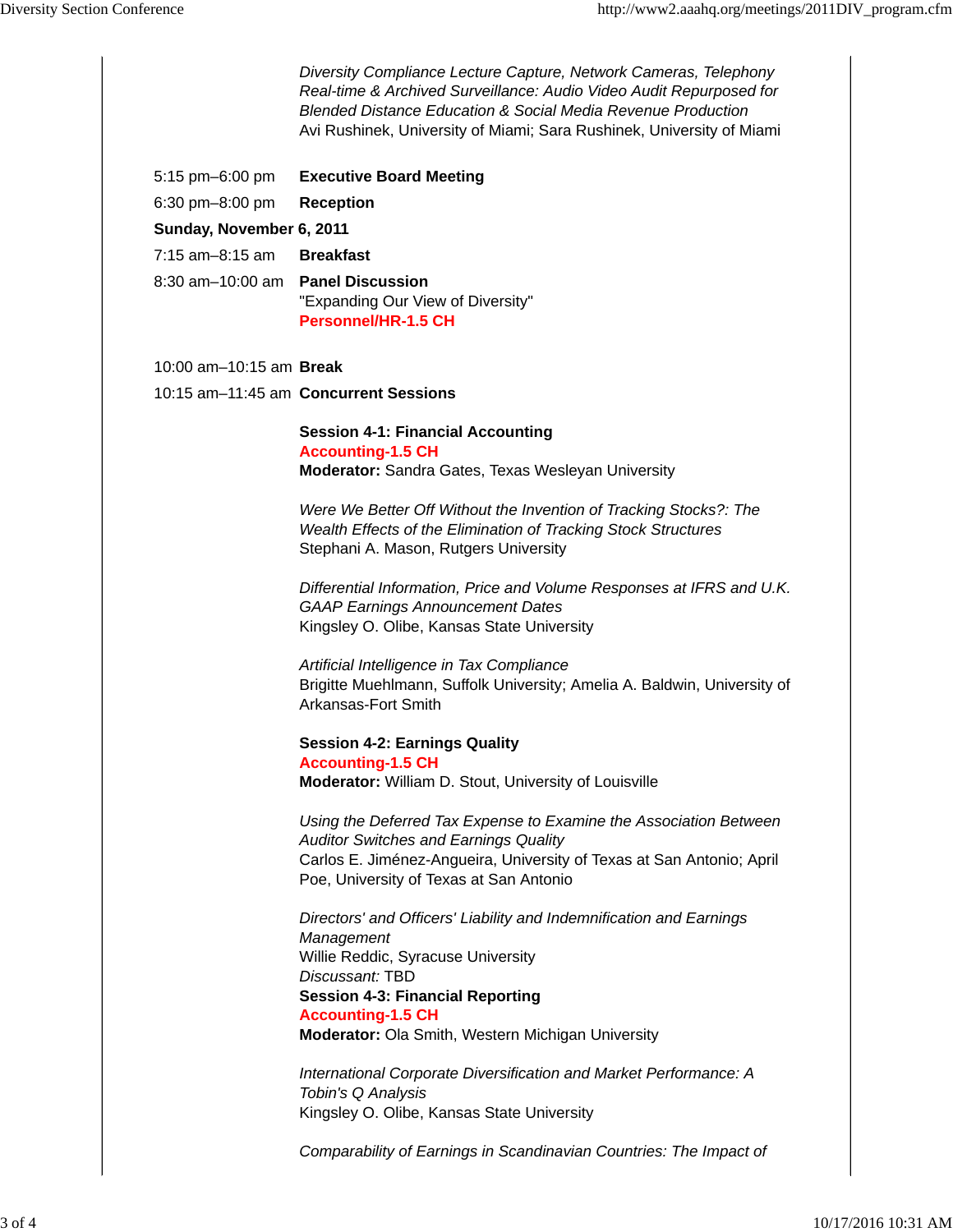|  |                                   | Diversity Compliance Lecture Capture, Network Cameras, Telephony<br>Real-time & Archived Surveillance: Audio Video Audit Repurposed for<br><b>Blended Distance Education &amp; Social Media Revenue Production</b><br>Avi Rushinek, University of Miami; Sara Rushinek, University of Miami |  |  |  |  |
|--|-----------------------------------|---------------------------------------------------------------------------------------------------------------------------------------------------------------------------------------------------------------------------------------------------------------------------------------------|--|--|--|--|
|  | 5:15 pm-6:00 pm                   | <b>Executive Board Meeting</b>                                                                                                                                                                                                                                                              |  |  |  |  |
|  | $6:30$ pm $-8:00$ pm              | <b>Reception</b>                                                                                                                                                                                                                                                                            |  |  |  |  |
|  | Sunday, November 6, 2011          |                                                                                                                                                                                                                                                                                             |  |  |  |  |
|  | 7:15 am-8:15 am                   | <b>Breakfast</b>                                                                                                                                                                                                                                                                            |  |  |  |  |
|  | 8:30 am-10:00 am Panel Discussion | "Expanding Our View of Diversity"<br><b>Personnel/HR-1.5 CH</b>                                                                                                                                                                                                                             |  |  |  |  |
|  |                                   | 10:00 am-10:15 am <b>Break</b>                                                                                                                                                                                                                                                              |  |  |  |  |
|  |                                   | 10:15 am-11:45 am Concurrent Sessions                                                                                                                                                                                                                                                       |  |  |  |  |
|  |                                   | <b>Session 4-1: Financial Accounting</b><br><b>Accounting-1.5 CH</b><br>Moderator: Sandra Gates, Texas Wesleyan University                                                                                                                                                                  |  |  |  |  |
|  |                                   | Were We Better Off Without the Invention of Tracking Stocks?: The<br>Wealth Effects of the Elimination of Tracking Stock Structures<br>Stephani A. Mason, Rutgers University                                                                                                                |  |  |  |  |
|  |                                   | Differential Information, Price and Volume Responses at IFRS and U.K.<br><b>GAAP Earnings Announcement Dates</b><br>Kingsley O. Olibe, Kansas State University                                                                                                                              |  |  |  |  |
|  |                                   | Artificial Intelligence in Tax Compliance<br>Brigitte Muehlmann, Suffolk University; Amelia A. Baldwin, University of<br>Arkansas-Fort Smith                                                                                                                                                |  |  |  |  |
|  |                                   | <b>Session 4-2: Earnings Quality</b>                                                                                                                                                                                                                                                        |  |  |  |  |
|  |                                   | <b>Accounting-1.5 CH</b>                                                                                                                                                                                                                                                                    |  |  |  |  |
|  |                                   | Moderator: William D. Stout, University of Louisville                                                                                                                                                                                                                                       |  |  |  |  |
|  |                                   | Using the Deferred Tax Expense to Examine the Association Between                                                                                                                                                                                                                           |  |  |  |  |
|  |                                   | <b>Auditor Switches and Earnings Quality</b>                                                                                                                                                                                                                                                |  |  |  |  |
|  |                                   | Carlos E. Jiménez-Angueira, University of Texas at San Antonio; April<br>Poe, University of Texas at San Antonio                                                                                                                                                                            |  |  |  |  |
|  |                                   | Directors' and Officers' Liability and Indemnification and Earnings<br>Management<br>Willie Reddic, Syracuse University<br>Discussant: TBD<br><b>Session 4-3: Financial Reporting</b><br><b>Accounting-1.5 CH</b><br>Moderator: Ola Smith, Western Michigan University                      |  |  |  |  |
|  |                                   | International Corporate Diversification and Market Performance: A                                                                                                                                                                                                                           |  |  |  |  |
|  |                                   | Tobin's Q Analysis<br>Kingsley O. Olibe, Kansas State University                                                                                                                                                                                                                            |  |  |  |  |
|  |                                   | Comparability of Earnings in Scandinavian Countries: The Impact of                                                                                                                                                                                                                          |  |  |  |  |